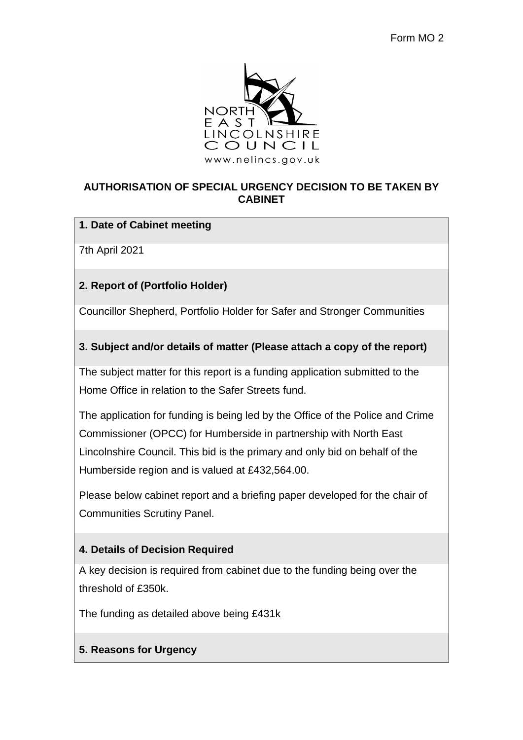

### **AUTHORISATION OF SPECIAL URGENCY DECISION TO BE TAKEN BY CABINET**

### **1. Date of Cabinet meeting**

7th April 2021

# **2. Report of (Portfolio Holder)**

Councillor Shepherd, Portfolio Holder for Safer and Stronger Communities

# **3. Subject and/or details of matter (Please attach a copy of the report)**

The subject matter for this report is a funding application submitted to the Home Office in relation to the Safer Streets fund.

The application for funding is being led by the Office of the Police and Crime Commissioner (OPCC) for Humberside in partnership with North East Lincolnshire Council. This bid is the primary and only bid on behalf of the Humberside region and is valued at £432,564.00.

Please below cabinet report and a briefing paper developed for the chair of Communities Scrutiny Panel.

# **4. Details of Decision Required**

A key decision is required from cabinet due to the funding being over the threshold of £350k.

The funding as detailed above being £431k

# **5. Reasons for Urgency**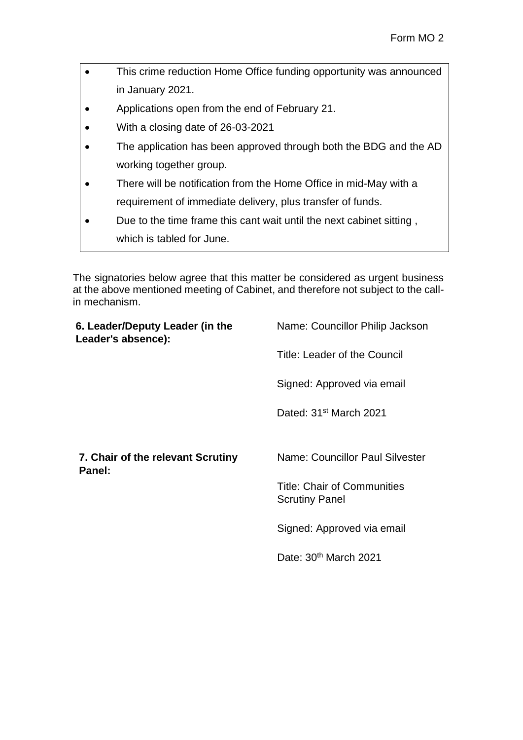- This crime reduction Home Office funding opportunity was announced in January 2021.
- Applications open from the end of February 21.
- With a closing date of 26-03-2021
- The application has been approved through both the BDG and the AD working together group.
- There will be notification from the Home Office in mid-May with a requirement of immediate delivery, plus transfer of funds.
- Due to the time frame this cant wait until the next cabinet sitting , which is tabled for June.

The signatories below agree that this matter be considered as urgent business at the above mentioned meeting of Cabinet, and therefore not subject to the callin mechanism.

| 6. Leader/Deputy Leader (in the<br>Leader's absence): | Name: Councillor Philip Jackson                             |
|-------------------------------------------------------|-------------------------------------------------------------|
|                                                       | Title: Leader of the Council                                |
|                                                       | Signed: Approved via email                                  |
|                                                       | Dated: 31 <sup>st</sup> March 2021                          |
|                                                       |                                                             |
| 7. Chair of the relevant Scrutiny                     | Name: Councillor Paul Silvester                             |
| Panel:                                                | <b>Title: Chair of Communities</b><br><b>Scrutiny Panel</b> |
|                                                       | Signed: Approved via email                                  |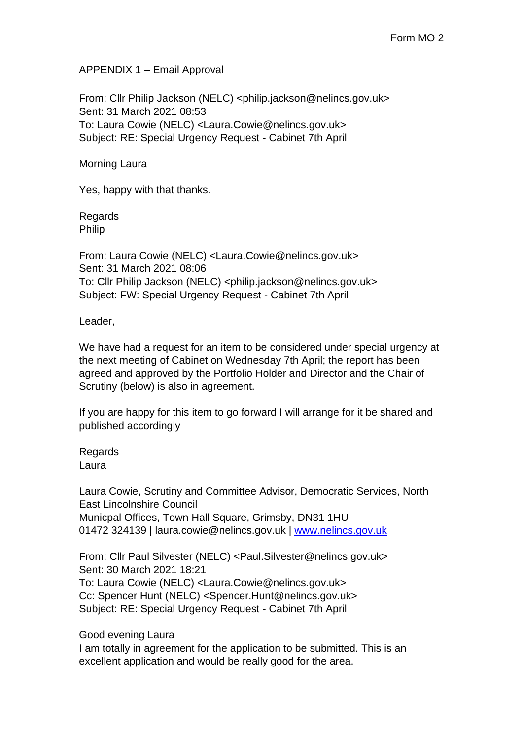APPENDIX 1 – Email Approval

From: Cllr Philip Jackson (NELC) <philip.jackson@nelincs.gov.uk> Sent: 31 March 2021 08:53 To: Laura Cowie (NELC) <Laura.Cowie@nelincs.gov.uk> Subject: RE: Special Urgency Request - Cabinet 7th April

Morning Laura

Yes, happy with that thanks.

Regards Philip

From: Laura Cowie (NELC) <Laura.Cowie@nelincs.gov.uk> Sent: 31 March 2021 08:06 To: Cllr Philip Jackson (NELC) <philip.jackson@nelincs.gov.uk> Subject: FW: Special Urgency Request - Cabinet 7th April

Leader,

We have had a request for an item to be considered under special urgency at the next meeting of Cabinet on Wednesday 7th April; the report has been agreed and approved by the Portfolio Holder and Director and the Chair of Scrutiny (below) is also in agreement.

If you are happy for this item to go forward I will arrange for it be shared and published accordingly

**Regards** Laura

Laura Cowie, Scrutiny and Committee Advisor, Democratic Services, North East Lincolnshire Council Municpal Offices, Town Hall Square, Grimsby, DN31 1HU 01472 324139 | laura.cowie@nelincs.gov.uk | [www.nelincs.gov.uk](http://www.nelincs.gov.uk/)

From: Cllr Paul Silvester (NELC) <Paul.Silvester@nelincs.gov.uk> Sent: 30 March 2021 18:21 To: Laura Cowie (NELC) <Laura.Cowie@nelincs.gov.uk> Cc: Spencer Hunt (NELC) <Spencer.Hunt@nelincs.gov.uk> Subject: RE: Special Urgency Request - Cabinet 7th April

Good evening Laura

I am totally in agreement for the application to be submitted. This is an excellent application and would be really good for the area.